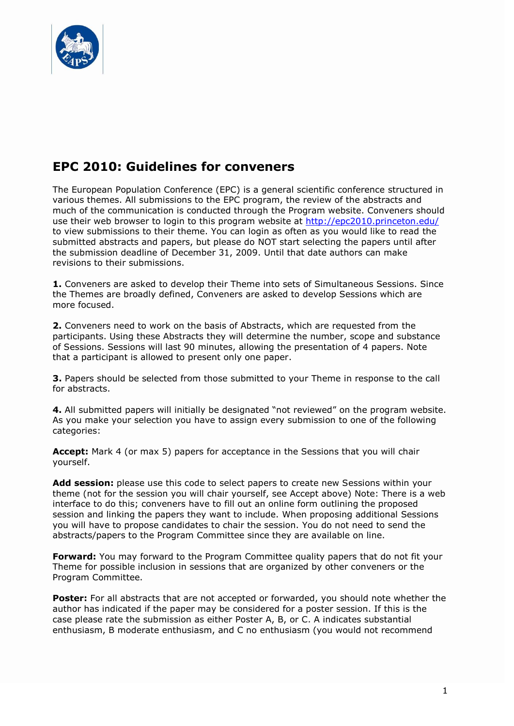

## **EPC 2010: Guidelines for conveners**

The European Population Conference (EPC) is a general scientific conference structured in various themes. All submissions to the EPC program, the review of the abstracts and much of the communication is conducted through the Program website. Conveners should use their web browser to login to this program website at<http://epc2010.princeton.edu/> to view submissions to their theme. You can login as often as you would like to read the submitted abstracts and papers, but please do NOT start selecting the papers until after the submission deadline of December 31, 2009. Until that date authors can make revisions to their submissions.

**1.** Conveners are asked to develop their Theme into sets of Simultaneous Sessions. Since the Themes are broadly defined, Conveners are asked to develop Sessions which are more focused.

**2.** Conveners need to work on the basis of Abstracts, which are requested from the participants. Using these Abstracts they will determine the number, scope and substance of Sessions. Sessions will last 90 minutes, allowing the presentation of 4 papers. Note that a participant is allowed to present only one paper.

**3.** Papers should be selected from those submitted to your Theme in response to the call for abstracts.

**4.** All submitted papers will initially be designated "not reviewed" on the program website. As you make your selection you have to assign every submission to one of the following categories:

**Accept:** Mark 4 (or max 5) papers for acceptance in the Sessions that you will chair yourself.

**Add session:** please use this code to select papers to create new Sessions within your theme (not for the session you will chair yourself, see Accept above) Note: There is a web interface to do this; conveners have to fill out an online form outlining the proposed session and linking the papers they want to include. When proposing additional Sessions you will have to propose candidates to chair the session. You do not need to send the abstracts/papers to the Program Committee since they are available on line.

**Forward:** You may forward to the Program Committee quality papers that do not fit your Theme for possible inclusion in sessions that are organized by other conveners or the Program Committee.

Poster: For all abstracts that are not accepted or forwarded, you should note whether the author has indicated if the paper may be considered for a poster session. If this is the case please rate the submission as either Poster A, B, or C. A indicates substantial enthusiasm, B moderate enthusiasm, and C no enthusiasm (you would not recommend